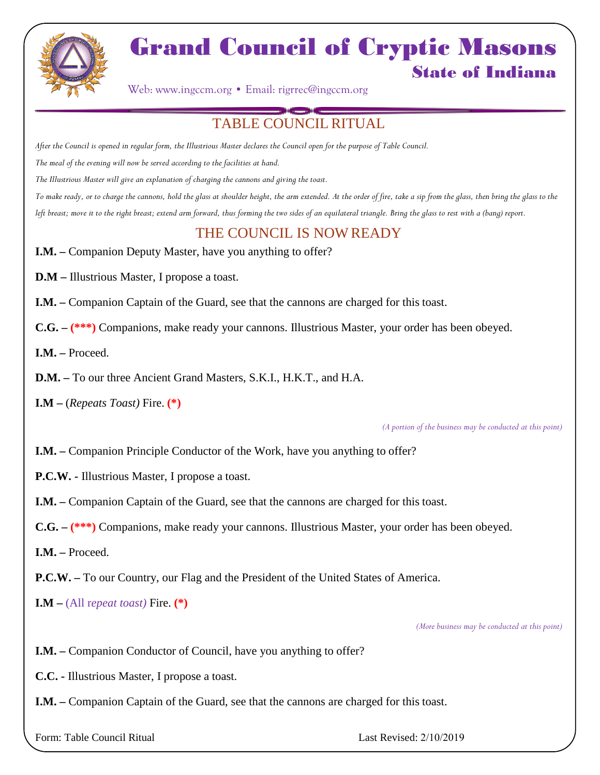

## Grand Council of Cryptic Masons State of Indiana

Web: www.ingccm.org • Email: rigrrec@ingccm.org

## TABLE COUNCIL RITUAL

*After the Council is opened in regular form, the Illustrious Master declares the Council open for the purpose of Table Council.*

*The meal of the evening will now be served according to the facilities at hand.*

*The Illustrious Master will give an explanation of charging the cannons and giving the toast.*

*To make ready, or to charge the cannons, hold the glass at shoulder height, the arm extended. At the order of fire, take a sip from the glass, then bring the glass to the left breast; move it to the right breast; extend arm forward, thus forming the two sides of an equilateral triangle. Bring the glass to rest with a (bang) report.*

## THE COUNCIL IS NOW READY

**I.M.** – Companion Deputy Master, have you anything to offer?

**D.M –** Illustrious Master, I propose a toast.

**I.M. –** Companion Captain of the Guard, see that the cannons are charged for this toast.

**C.G. – (\*\*\*)** Companions, make ready your cannons. Illustrious Master, your order has been obeyed.

**I.M. –** Proceed.

**D.M. –** To our three Ancient Grand Masters, S.K.I., H.K.T., and H.A.

**I.M –** (*Repeats Toast)* Fire. **(\*)**

*(A portion of the business may be conducted at this point)*

**I.M.** – Companion Principle Conductor of the Work, have you anything to offer?

**P.C.W. -** Illustrious Master, I propose a toast.

**I.M. –** Companion Captain of the Guard, see that the cannons are charged for this toast.

**C.G. – (\*\*\*)** Companions, make ready your cannons. Illustrious Master, your order has been obeyed.

**I.M. –** Proceed.

**P.C.W. –** To our Country, our Flag and the President of the United States of America.

**I.M** –  $(All repeat toast)$  Fire. (\*)

*(More business may be conducted at this point)*

**I.M.** – Companion Conductor of Council, have you anything to offer?

**C.C. -** Illustrious Master, I propose a toast.

**I.M. –** Companion Captain of the Guard, see that the cannons are charged for this toast.

Form: Table Council Ritual Last Revised: 2/10/2019